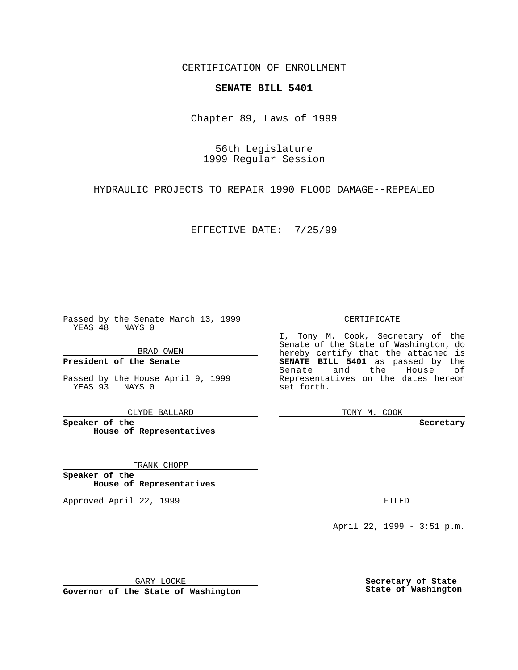CERTIFICATION OF ENROLLMENT

## **SENATE BILL 5401**

Chapter 89, Laws of 1999

56th Legislature 1999 Regular Session

HYDRAULIC PROJECTS TO REPAIR 1990 FLOOD DAMAGE--REPEALED

EFFECTIVE DATE: 7/25/99

Passed by the Senate March 13, 1999 YEAS 48 NAYS 0

BRAD OWEN

**President of the Senate**

Passed by the House April 9, 1999 YEAS 93 NAYS 0

CLYDE BALLARD

**Speaker of the House of Representatives**

FRANK CHOPP

**Speaker of the House of Representatives**

Approved April 22, 1999 **FILED** 

## CERTIFICATE

I, Tony M. Cook, Secretary of the Senate of the State of Washington, do hereby certify that the attached is **SENATE BILL 5401** as passed by the Senate and the House of Representatives on the dates hereon set forth.

TONY M. COOK

## **Secretary**

April 22, 1999 - 3:51 p.m.

GARY LOCKE

**Governor of the State of Washington**

**Secretary of State State of Washington**